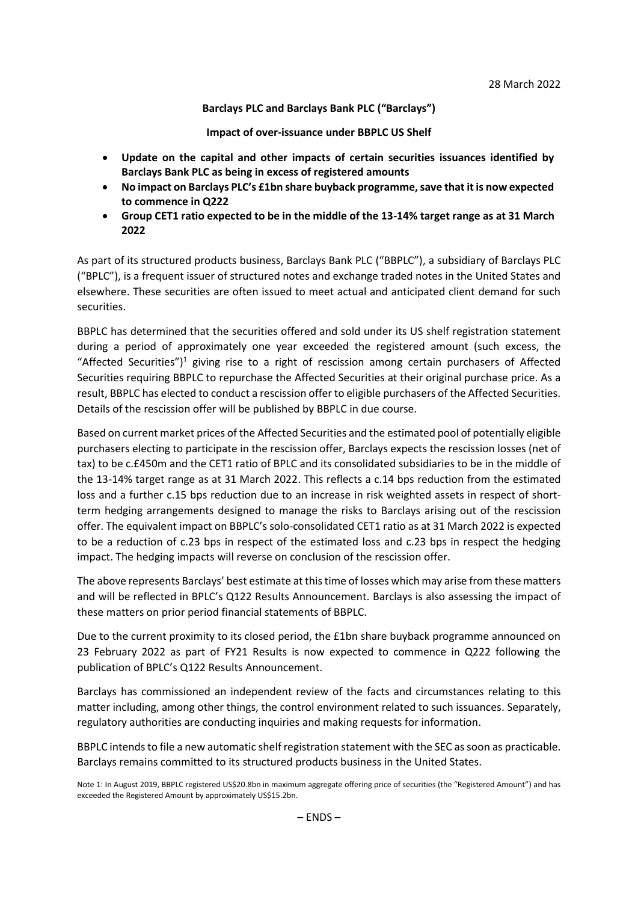## **Barclays PLC and Barclays Bank PLC ("Barclays")**

**Impact of over-issuance under BBPLC US Shelf**

- **Update on the capital and other impacts of certain securities issuances identified by Barclays Bank PLC as being in excess of registered amounts**
- **No impact on Barclays PLC's £1bn share buyback programme, save that it is now expected to commence in Q222**
- **Group CET1 ratio expected to be in the middle of the 13-14% target range as at 31 March 2022**

As part of its structured products business, Barclays Bank PLC ("BBPLC"), a subsidiary of Barclays PLC ("BPLC"), is a frequent issuer of structured notes and exchange traded notes in the United States and elsewhere. These securities are often issued to meet actual and anticipated client demand for such securities.

BBPLC has determined that the securities offered and sold under its US shelf registration statement during a period of approximately one year exceeded the registered amount (such excess, the "Affected Securities")<sup>1</sup> giving rise to a right of rescission among certain purchasers of Affected Securities requiring BBPLC to repurchase the Affected Securities at their original purchase price. As a result, BBPLC has elected to conduct a rescission offer to eligible purchasers of the Affected Securities. Details of the rescission offer will be published by BBPLC in due course.

Based on current market prices of the Affected Securities and the estimated pool of potentially eligible purchasers electing to participate in the rescission offer, Barclays expects the rescission losses (net of tax) to be c.£450m and the CET1 ratio of BPLC and its consolidated subsidiaries to be in the middle of the 13-14% target range as at 31 March 2022. This reflects a c.14 bps reduction from the estimated loss and a further c.15 bps reduction due to an increase in risk weighted assets in respect of shortterm hedging arrangements designed to manage the risks to Barclays arising out of the rescission offer. The equivalent impact on BBPLC's solo-consolidated CET1 ratio as at 31 March 2022 is expected to be a reduction of c.23 bps in respect of the estimated loss and c.23 bps in respect the hedging impact. The hedging impacts will reverse on conclusion of the rescission offer.

The above represents Barclays' best estimate at this time of losses which may arise from these matters and will be reflected in BPLC's Q122 Results Announcement. Barclays is also assessing the impact of these matters on prior period financial statements of BBPLC.

Due to the current proximity to its closed period, the £1bn share buyback programme announced on 23 February 2022 as part of FY21 Results is now expected to commence in Q222 following the publication of BPLC's Q122 Results Announcement.

Barclays has commissioned an independent review of the facts and circumstances relating to this matter including, among other things, the control environment related to such issuances. Separately, regulatory authorities are conducting inquiries and making requests for information.

BBPLC intends to file a new automatic shelf registration statement with the SEC as soon as practicable. Barclays remains committed to its structured products business in the United States.

Note 1: In August 2019, BBPLC registered US\$20.8bn in maximum aggregate offering price of securities (the "Registered Amount") and has exceeded the Registered Amount by approximately US\$15.2bn.